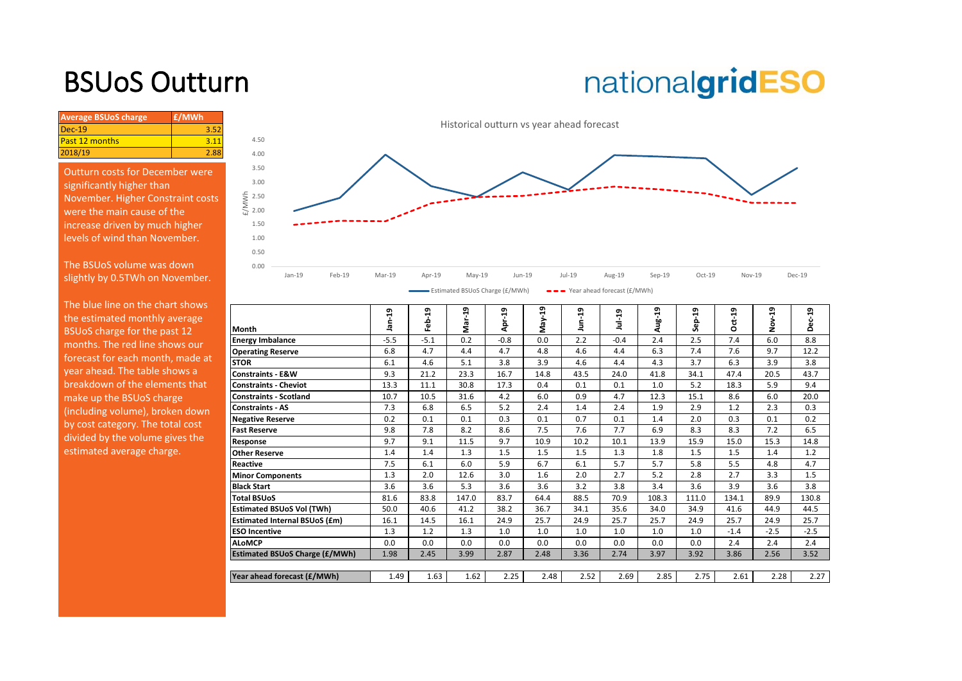## BSUoS Outturn

# nationalgridESO

| $Dec-19$<br>3.52<br>Past 12 months<br>2018/19 | <b>Average BSUoS charge</b> | £/MWh |
|-----------------------------------------------|-----------------------------|-------|
|                                               |                             |       |
|                                               |                             |       |
|                                               |                             |       |

Outturn costs for December were significantly higher than November. Higher Constraint costs were the main cause of the increase driven by much higher levels of wind than November.

The BSUoS volume was down slightly by 0.5TWh on November.



| THE DIGE THIS OIL GIS CHAIL SHOWS |                                       | ఇ      | ន្ទ    | თ<br>۳ | ٩ŗ     | ន្ន  | ភ្ន  |          | ន     | ឡ     |          | ឡ       | ឡ      |
|-----------------------------------|---------------------------------------|--------|--------|--------|--------|------|------|----------|-------|-------|----------|---------|--------|
| the estimated monthly average     |                                       | á      | ف<br>ڇ |        |        |      | s    | $1ul-19$ | Aug-  | နှင့် | $Oct-19$ | $\circ$ |        |
| BSUoS charge for the past 12      | <b>Month</b>                          |        |        | ξå     | ă٩     | λgΝ  |      |          |       |       |          | ż       | ≏      |
| months. The red line shows our    | <b>Energy Imbalance</b>               | $-5.5$ | $-5.1$ | 0.2    | $-0.8$ | 0.0  | 2.2  | $-0.4$   | 2.4   | 2.5   | 7.4      | 6.0     | 8.8    |
| forecast for each month, made at  | <b>Operating Reserve</b>              | 6.8    | 4.7    | 4.4    | 4.7    | 4.8  | 4.6  | 4.4      | 6.3   | 7.4   | 7.6      | 9.7     | 12.2   |
|                                   | <b>STOR</b>                           | 6.1    | 4.6    | 5.1    | 3.8    | 3.9  | 4.6  | 4.4      | 4.3   | 3.7   | 6.3      | 3.9     | 3.8    |
| year ahead. The table shows a     | <b>Constraints - E&amp;W</b>          | 9.3    | 21.2   | 23.3   | 16.7   | 14.8 | 43.5 | 24.0     | 41.8  | 34.1  | 47.4     | 20.5    | 43.7   |
| breakdown of the elements that    | <b>Constraints - Cheviot</b>          | 13.3   | 11.1   | 30.8   | 17.3   | 0.4  | 0.1  | 0.1      | 1.0   | 5.2   | 18.3     | 5.9     | 9.4    |
| make up the BSUoS charge          | <b>Constraints - Scotland</b>         | 10.7   | 10.5   | 31.6   | 4.2    | 6.0  | 0.9  | 4.7      | 12.3  | 15.1  | 8.6      | 6.0     | 20.0   |
| (including volume), broken down   | Constraints - AS                      | 7.3    | 6.8    | 6.5    | 5.2    | 2.4  | 1.4  | 2.4      | 1.9   | 2.9   | 1.2      | 2.3     | 0.3    |
| by cost category. The total cost  | <b>Negative Reserve</b>               | 0.2    | 0.1    | 0.1    | 0.3    | 0.1  | 0.7  | 0.1      | 1.4   | 2.0   | 0.3      | 0.1     | 0.2    |
|                                   | <b>Fast Reserve</b>                   | 9.8    | 7.8    | 8.2    | 8.6    | 7.5  | 7.6  | 7.7      | 6.9   | 8.3   | 8.3      | 7.2     | 6.5    |
| divided by the volume gives the   | Response                              | 9.7    | 9.1    | 11.5   | 9.7    | 10.9 | 10.2 | 10.1     | 13.9  | 15.9  | 15.0     | 15.3    | 14.8   |
| estimated average charge.         | <b>Other Reserve</b>                  | 1.4    | 1.4    | 1.3    | 1.5    | 1.5  | 1.5  | 1.3      | 1.8   | 1.5   | 1.5      | 1.4     | 1.2    |
|                                   | <b>Reactive</b>                       | 7.5    | 6.1    | 6.0    | 5.9    | 6.7  | 6.1  | 5.7      | 5.7   | 5.8   | 5.5      | 4.8     | 4.7    |
|                                   | <b>Minor Components</b>               | 1.3    | 2.0    | 12.6   | 3.0    | 1.6  | 2.0  | 2.7      | 5.2   | 2.8   | 2.7      | 3.3     | 1.5    |
|                                   | <b>Black Start</b>                    | 3.6    | 3.6    | 5.3    | 3.6    | 3.6  | 3.2  | 3.8      | 3.4   | 3.6   | 3.9      | 3.6     | 3.8    |
|                                   | <b>Total BSUoS</b>                    | 81.6   | 83.8   | 147.0  | 83.7   | 64.4 | 88.5 | 70.9     | 108.3 | 111.0 | 134.1    | 89.9    | 130.8  |
|                                   | <b>Estimated BSUoS Vol (TWh)</b>      | 50.0   | 40.6   | 41.2   | 38.2   | 36.7 | 34.1 | 35.6     | 34.0  | 34.9  | 41.6     | 44.9    | 44.5   |
|                                   | <b>Estimated Internal BSUoS (£m)</b>  | 16.1   | 14.5   | 16.1   | 24.9   | 25.7 | 24.9 | 25.7     | 25.7  | 24.9  | 25.7     | 24.9    | 25.7   |
|                                   | <b>ESO Incentive</b>                  | 1.3    | 1.2    | 1.3    | 1.0    | 1.0  | 1.0  | 1.0      | 1.0   | 1.0   | $-1.4$   | $-2.5$  | $-2.5$ |
|                                   | <b>ALoMCP</b>                         | 0.0    | 0.0    | 0.0    | 0.0    | 0.0  | 0.0  | 0.0      | 0.0   | 0.0   | 2.4      | 2.4     | 2.4    |
|                                   | <b>Estimated BSUoS Charge (£/MWh)</b> | 1.98   | 2.45   | 3.99   | 2.87   | 2.48 | 3.36 | 2.74     | 3.97  | 3.92  | 3.86     | 2.56    | 3.52   |
|                                   |                                       |        |        |        |        |      |      |          |       |       |          |         |        |
|                                   | Year ahead forecast (£/MWh)           | 1.49   | 1.63   | 1.62   | 2.25   | 2.48 | 2.52 | 2.69     | 2.85  | 2.75  | 2.61     | 2.28    | 2.27   |
|                                   |                                       |        |        |        |        |      |      |          |       |       |          |         |        |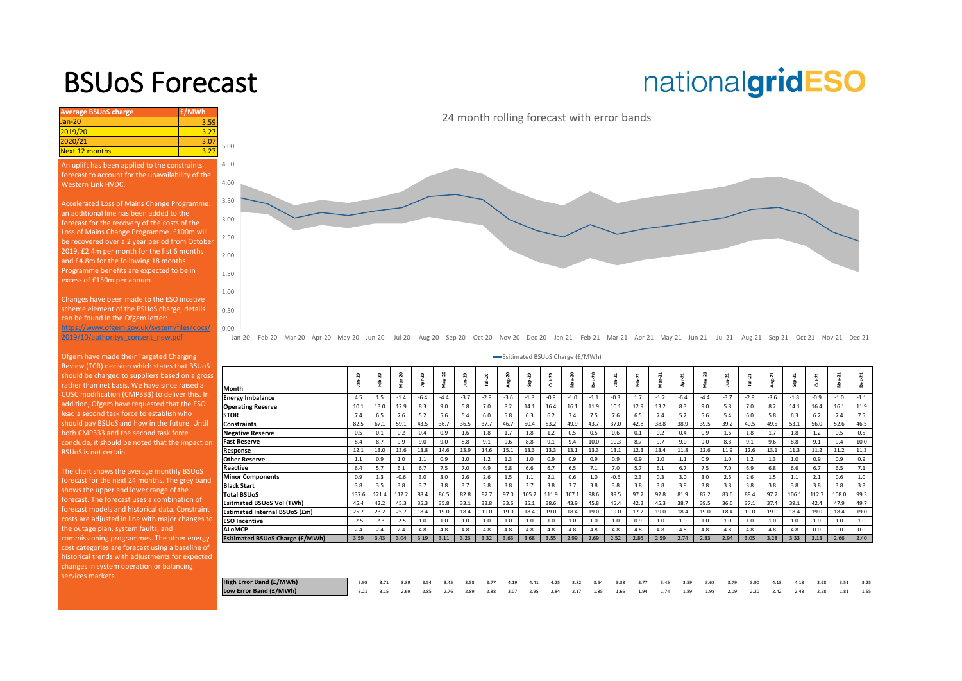### BSUoS Forecast

## nationalgridESO

**Average BSUoS charge £/MWh £/MWh** Jan-20 3.59 2019/20 3.27<br>2020/21 3.07 2020/21 3.07<br>Next 12 months 3.27 Next 12 months 0.50 1.00 1.50 2.00 2.50 3.00 3.50 4.00 4.50 5.00 An uplift has been applied to the constraints forecast to account for the unavailability of the Western Link HVDC. Accelerated Loss of Mains Change Programme: an additional line has been added to the forecast for the recovery of the costs of the Loss of Mains Change Programme. £100m will [be recovered over a 2 year period from October](https://www.nationalgrideso.com/charging/balancing-services-use-system-bsuos-charges)  2019, £2.4m per month for the fist 6 months and £4.8m for the following 18 months. Programme benefits are expected to be in excess of £150m per annum. Changes have been made to the ESO incetive scheme element of the BSUoS charge, details can be found in the Ofgem letter:

https://www.ofgem.gov.uk/system/files/docs/ 2019/10/authoritys\_consent\_new.pdf

Ofgem have made their Targeted Charging Review (TCR) decision which states that BSUoS should be charged to suppliers based on a gross rather than net basis. We have since raised a CUSC modification (CMP333) to deliver this. In addition, Ofgem have requested that the ESO lead a second task force to establish who should pay BSUoS and how in the future. Until both CMP333 and the second task force conclude, it should be noted that the impact on BSUoS is not certain.

The chart shows the average monthly BSUoS forecast for the next 24 months. The grey band shows the upper and lower range of the forecast. The forecast uses a combination of forecast models and historical data. Constraint costs are adjusted in line with major changes to the outage plan, system faults, and commissioning programmes. The other energy cost categories are forecast using a baseline of historical trends with adjustments for expected changes in system operation or balancing services markets.

24 month rolling forecast with error bands



Jan-20 Feb-20 Mar-20 Apr-20 May-20 Jun-20 Jul-20 Aug-20 Sep-20 Oct-20 Nov-20 Dec-20 Jan-21 Feb-21 Mar-21 Apr-21 May-21 Jun-21 Jul-21 Aug-21 Sep-21 Oct-21 Nov-21 Dec-21

Esitimated BSUoS Charge (£/MWh)

|                                 | ន<br>ċ<br>으 | Feb-20 | Mar-20 | ន      | ay-20<br>s | $n - 20$ | Jul-20 | Aug-20 | $Step-20$ | Oct-20 | Nov-20 | $ec-20$<br>ó | $n-21$<br>$\overline{a}$ | Feb-21 | $Mar-21$ | $pr-21$ | May-21 | $J$ un- $21$ | $Jul-21$ | Aug-21 | $Sep-21$ | Oct-21 | <b>Nov-21</b> | $ec-21$<br>ã |
|---------------------------------|-------------|--------|--------|--------|------------|----------|--------|--------|-----------|--------|--------|--------------|--------------------------|--------|----------|---------|--------|--------------|----------|--------|----------|--------|---------------|--------------|
| Month                           |             |        |        |        |            |          |        |        |           |        |        |              |                          |        |          |         |        |              |          |        |          |        |               |              |
| <b>Energy Imbalance</b>         | 4.5         | 1.5    | $-1.4$ | $-6.4$ | $-4.4$     | $-3.7$   | $-2.9$ | $-3.6$ | $-1.8$    | $-0.9$ | $-1.0$ | $-1.1$       | $-0.3$                   | 1.7    | $-1.2$   | $-6.4$  | $-4.4$ | $-3.7$       | $-2.9$   | $-3.6$ | $-1.8$   | $-0.9$ | $-1.0$        | $-1.1$       |
| <b>Operating Reserve</b>        | 10.1        | 13.0   | 12.9   | 8.3    | 9.0        | 5.8      | 7.0    | 8.2    | 14.1      | 16.4   | 16.1   | 11.9         | 10.1                     | 12.9   | 13.2     | 8.3     | 9.0    | 5.8          | 7.0      | 8.2    | 14.1     | 16.4   | 16.1          | 11.9         |
| STOR                            | 7.4         | 6.5    | 7.6    | 5.2    | 5.6        | 5.4      | 6.0    | 5.8    | 6.3       | 6.2    | 7.4    | 7.5          | 7.6                      | 6.5    | 7.4      | 5.2     | 5.6    | 5.4          | 6.0      | 5.8    | 6.3      | 6.2    | 7.4           | 7.5          |
| <b>Constraints</b>              | 82.5        | 67.1   | 59.1   | 43.5   | 36.7       | 36.5     | 37.7   | 46.7   | 50.4      | 53.2   | 49.9   | 43.7         | 37.0                     | 42.8   | 38.8     | 38.9    | 39.5   | 39.2         | 40.5     | 49.5   | 53.1     | 56.0   | 52.6          | 46.5         |
| <b>Negative Reserve</b>         | 0.5         | 0.1    | 0.2    | 0.4    | 0.9        | 1.6      | 1.8    | 1.7    | 1.8       | 1.2    | 0.5    | 0.5          | 0.6                      | 0.1    | 0.2      | 0.4     | 0.9    | 1.6          | 1.8      | 1.7    | 1.8      | 1.2    | 0.5           | 0.5          |
| Fast Reserve                    | 8.4         | 8.7    | 9.9    | 9.0    | 9.0        | 8.8      | 9.1    | 9.6    | 8.8       | 9.1    | 9.4    | 10.0         | 10.3                     | 8.7    | 9.7      | 9.0     | 9.0    | 8.8          | 9.1      | 9.6    | 8.8      | 9.1    | 9.4           | 10.0         |
| Response                        | 12.1        | 13.0   | 13.6   | 13.8   | 14.6       | 13.9     | 14.6   | 15.1   | 13.3      | 13.3   | 13.1   | 13.3         | 13.1                     | 12.3   | 13.4     | 11.8    | 12.6   | 11.9         | 12.6     | 13.1   | 11.3     | 11.2   | 11.2          | 11.3         |
| <b>Other Reserve</b>            | 1.1         | 0.9    | 1.0    | 1.1    | 0.9        | 1.0      | $1.2$  | 1.3    | $1.0$     | 0.9    | 0.9    | 0.9          | 0.9                      | 0.9    | 1.0      | 1.1     | 0.9    | $1.0$        | 1.2      | 1.3    | 1.0      | 0.9    | 0.9           | 0.9          |
| Reactive                        | 6.4         | 5.7    | 6.1    | 6.7    | 7.5        | 7.0      | 6.9    | 6.8    | 6.6       | 6.7    | 6.5    | 7.1          | 7.0                      | 5.7    | 6.1      | 6.7     | 7.5    | 7.0          | 6.9      | 6.8    | 6.6      | 6.7    | 6.5           | 7.1          |
| <b>Minor Components</b>         | 0.9         | 1.3    | $-0.6$ | 3.0    | 3.0        | 2.6      | 2.6    | 1.5    | 1.1       | 2.1    | 0.6    | 1.0          | $-0.6$                   | 2.3    | 0.3      | 3.0     | 3.0    | 2.6          | 2.6      | 1.5    | 1.1      | 2.1    | 0.6           | $1.0$        |
| <b>Black Start</b>              | 3.8         | 3.5    | 3.8    | 3.7    | 3.8        | 3.7      | 3.8    | 3.8    | 3.7       | 3.8    | 3.7    | 3.8          | 3.8                      | 3.8    | 3.8      | 3.8     | 3.8    | 3.8          | 3.8      | 3.8    | 3.8      | 3.8    | 3.8           | 3.8          |
| <b>Total BSUoS</b>              | 137.6       | 121.4  | 112.2  | 88.4   | 86.5       | 82.8     | 87.7   | 97.0   | 105.2     | 111.9  | 107.1  | 98.6         | 89.5                     | 97.7   | 92.8     | 81.9    | 87.2   | 83.6         | 88.4     | 97.7   | 106.1    | 112.7  | 108.0         | 99.3         |
| Esitmated BSUoS Vol (TWh)       | 45.4        | 42.2   | 45.3   | 35.3   | 35.8       | 33.1     | 33.8   | 33.6   | 35.1      | 38.6   | 43.9   | 45.8         | 45.4                     | 42.2   | 45.3     | 38.7    | 39.5   | 36.6         | 37.1     | 37.4   | 39.1     | 42.4   | 47.9          | 49.7         |
| Estimated Internal BSUoS (£m)   | 25.7        | 23.2   | 25.7   | 18.4   | 19.0       | 18.4     | 19.0   | 19.0   | 18.4      | 19.0   | 18.4   | 19.0         | 19.0                     | 17.2   | 19.0     | 18.4    | 19.0   | 18.4         | 19.0     | 19.0   | 18.4     | 19.0   | 18.4          | 19.0         |
| <b>ESO Incentive</b>            | $-2.5$      | $-2.3$ | $-2.5$ | 1.0    | 1.0        | 1.0      | 1.0    | 1.0    | 1.0       | 1.0    | 1.0    | 1.0          | 1.0                      | 0.9    | 1.0      | 1.0     | 1.0    | 1.0          | 1.0      | 1.0    | 1.0      | 1.0    | 1.0           | $1.0$        |
| <b>ALoMCP</b>                   | 2.4         | 2.4    | 2.4    | 4.8    | 4.8        | 4.8      | 4.8    | 4.8    | 4.8       | 4.8    | 4.8    | 4.8          | 4.8                      | 4.8    | 4.8      | 4.8     | 4.8    | 4.8          | 4.8      | 4.8    | 4.8      | 0.0    | 0.0           | 0.0          |
| Esitimated BSUoS Charge (£/MWh) | 3.59        | 3.43   | 3.04   | 3.19   | 3.11       | 3.23     | 3.32   | 3.63   | 3.68      | 3.55   | 2.99   | 2.69         | 2.52                     | 2.86   | 2.59     | 2.74    | 2.83   | 2.94         | 3.05     | 3.28   | 3.33     | 3.13   | 2.66          | 2.40         |
|                                 |             |        |        |        |            |          |        |        |           |        |        |              |                          |        |          |         |        |              |          |        |          |        |               |              |
|                                 |             |        |        |        |            |          |        |        |           |        |        |              |                          |        |          |         |        |              |          |        |          |        |               |              |
|                                 |             |        |        |        |            |          |        |        |           |        |        |              |                          |        |          |         |        |              |          |        |          |        |               |              |

| High Error Band (£/MWh) | 3.98 3.71 3.39 3.54 3.45 3.58 3.77 4.19 4.41 4.25 3.82 3.54 3.38 3.77 3.45 3.59 3.68 3.79 3.90 4.13 4.18 3.98 3.51 3.25 |  |  |  |  |  |  |  |  |  |  |  |  |
|-------------------------|-------------------------------------------------------------------------------------------------------------------------|--|--|--|--|--|--|--|--|--|--|--|--|
| Low Error Band (£/MWh)  | 3.21 3.15 2.69 2.85 2.76 2.89 2.88 3.07 2.95 2.84 2.17 1.85 1.65 1.94 1.74 1.89 1.98 2.09 2.20 2.42 2.48 2.28 1.81 1.55 |  |  |  |  |  |  |  |  |  |  |  |  |